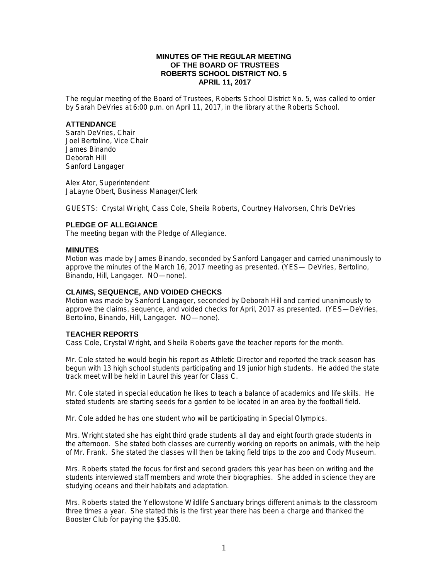### **MINUTES OF THE REGULAR MEETING OF THE BOARD OF TRUSTEES ROBERTS SCHOOL DISTRICT NO. 5 APRIL 11, 2017**

The regular meeting of the Board of Trustees, Roberts School District No. 5, was called to order by Sarah DeVries at 6:00 p.m. on April 11, 2017, in the library at the Roberts School.

#### **ATTENDANCE**

Sarah DeVries, Chair Joel Bertolino, Vice Chair James Binando Deborah Hill Sanford Langager

Alex Ator, Superintendent JaLayne Obert, Business Manager/Clerk

GUESTS: Crystal Wright, Cass Cole, Sheila Roberts, Courtney Halvorsen, Chris DeVries

## **PLEDGE OF ALLEGIANCE**

The meeting began with the Pledge of Allegiance.

#### **MINUTES**

Motion was made by James Binando, seconded by Sanford Langager and carried unanimously to approve the minutes of the March 16, 2017 meeting as presented. (YES— DeVries, Bertolino, Binando, Hill, Langager. NO—none).

### **CLAIMS, SEQUENCE, AND VOIDED CHECKS**

Motion was made by Sanford Langager, seconded by Deborah Hill and carried unanimously to approve the claims, sequence, and voided checks for April, 2017 as presented. (YES—DeVries, Bertolino, Binando, Hill, Langager. NO—none).

### **TEACHER REPORTS**

Cass Cole, Crystal Wright, and Sheila Roberts gave the teacher reports for the month.

Mr. Cole stated he would begin his report as Athletic Director and reported the track season has begun with 13 high school students participating and 19 junior high students. He added the state track meet will be held in Laurel this year for Class C.

Mr. Cole stated in special education he likes to teach a balance of academics and life skills. He stated students are starting seeds for a garden to be located in an area by the football field.

Mr. Cole added he has one student who will be participating in Special Olympics.

Mrs. Wright stated she has eight third grade students all day and eight fourth grade students in the afternoon. She stated both classes are currently working on reports on animals, with the help of Mr. Frank. She stated the classes will then be taking field trips to the zoo and Cody Museum.

Mrs. Roberts stated the focus for first and second graders this year has been on writing and the students interviewed staff members and wrote their biographies. She added in science they are studying oceans and their habitats and adaptation.

Mrs. Roberts stated the Yellowstone Wildlife Sanctuary brings different animals to the classroom three times a year. She stated this is the first year there has been a charge and thanked the Booster Club for paying the \$35.00.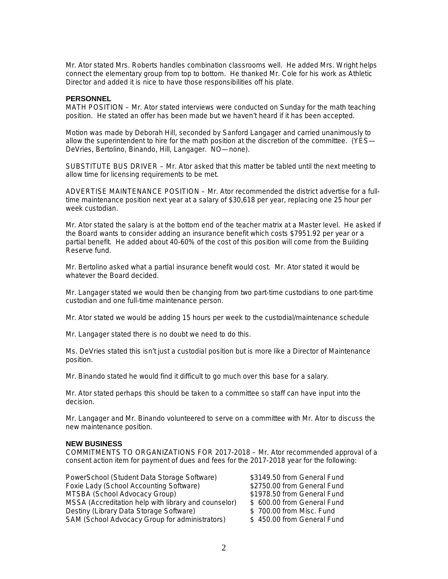Mr. Ator stated Mrs. Roberts handles combination classrooms well. He added Mrs. Wright helps connect the elementary group from top to bottom. He thanked Mr. Cole for his work as Athletic Director and added it is nice to have those responsibilities off his plate.

#### **PERSONNEL**

MATH POSITION – Mr. Ator stated interviews were conducted on Sunday for the math teaching position. He stated an offer has been made but we haven't heard if it has been accepted.

Motion was made by Deborah Hill, seconded by Sanford Langager and carried unanimously to allow the superintendent to hire for the math position at the discretion of the committee. (YES— DeVries, Bertolino, Binando, Hill, Langager. NO—none).

SUBSTITUTE BUS DRIVER – Mr. Ator asked that this matter be tabled until the next meeting to allow time for licensing requirements to be met.

ADVERTISE MAINTENANCE POSITION – Mr. Ator recommended the district advertise for a fulltime maintenance position next year at a salary of \$30,618 per year, replacing one 25 hour per week custodian.

Mr. Ator stated the salary is at the bottom end of the teacher matrix at a Master level. He asked if the Board wants to consider adding an insurance benefit which costs \$7951.92 per year or a partial benefit. He added about 40-60% of the cost of this position will come from the Building Reserve fund.

Mr. Bertolino asked what a partial insurance benefit would cost. Mr. Ator stated it would be whatever the Board decided.

Mr. Langager stated we would then be changing from two part-time custodians to one part-time custodian and one full-time maintenance person.

Mr. Ator stated we would be adding 15 hours per week to the custodial/maintenance schedule

Mr. Langager stated there is no doubt we need to do this.

Ms. DeVries stated this isn't just a custodial position but is more like a Director of Maintenance position.

Mr. Binando stated he would find it difficult to go much over this base for a salary.

Mr. Ator stated perhaps this should be taken to a committee so staff can have input into the decision.

Mr. Langager and Mr. Binando volunteered to serve on a committee with Mr. Ator to discuss the new maintenance position.

### **NEW BUSINESS**

COMMITMENTS TO ORGANIZATIONS FOR 2017-2018 – Mr. Ator recommended approval of a consent action item for payment of dues and fees for the 2017-2018 year for the following:

PowerSchool (Student Data Storage Software) \$3149.50 from General Fund Foxie Lady (School Accounting Software) **\$2750.00** from General Fund MTSBA (School Advocacy Group)  $$1978.50$  from General Fund MSSA (Accreditation help with library and counselor) \$ 600.00 from General Fund Destiny (Library Data Storage Software)  $\qquad$  \$ 700.00 from Misc. Fund SAM (School Advocacy Group for administrators) \$450.00 from General Fund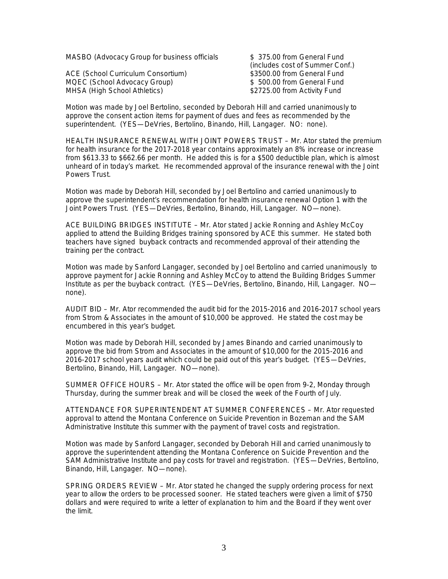MASBO (Advocacy Group for business officials  $$375.00$  from General Fund

ACE (School Curriculum Consortium) 63500.00 from General Fund MQEC (School Advocacy Group)  $$500.00$  from General Fund MHSA (High School Athletics)  $$2725.00$  from Activity Fund

(includes cost of Summer Conf.)

Motion was made by Joel Bertolino, seconded by Deborah Hill and carried unanimously to approve the consent action items for payment of dues and fees as recommended by the superintendent. (YES—DeVries, Bertolino, Binando, Hill, Langager. NO: none).

HEALTH INSURANCE RENEWAL WITH JOINT POWERS TRUST – Mr. Ator stated the premium for health insurance for the 2017-2018 year contains approximately an 8% increase or increase from \$613.33 to \$662.66 per month. He added this is for a \$500 deductible plan, which is almost unheard of in today's market. He recommended approval of the insurance renewal with the Joint Powers Trust.

Motion was made by Deborah Hill, seconded by Joel Bertolino and carried unanimously to approve the superintendent's recommendation for health insurance renewal Option 1 with the Joint Powers Trust. (YES—DeVries, Bertolino, Binando, Hill, Langager. NO—none).

ACE BUILDING BRIDGES INSTITUTE – Mr. Ator stated Jackie Ronning and Ashley McCoy applied to attend the Building Bridges training sponsored by ACE this summer. He stated both teachers have signed buyback contracts and recommended approval of their attending the training per the contract.

Motion was made by Sanford Langager, seconded by Joel Bertolino and carried unanimously to approve payment for Jackie Ronning and Ashley McCoy to attend the Building Bridges Summer Institute as per the buyback contract. (YES—DeVries, Bertolino, Binando, Hill, Langager. NO none).

AUDIT BID – Mr. Ator recommended the audit bid for the 2015-2016 and 2016-2017 school years from Strom & Associates in the amount of \$10,000 be approved. He stated the cost may be encumbered in this year's budget.

Motion was made by Deborah Hill, seconded by James Binando and carried unanimously to approve the bid from Strom and Associates in the amount of \$10,000 for the 2015-2016 and 2016-2017 school years audit which could be paid out of this year's budget. (YES—DeVries, Bertolino, Binando, Hill, Langager. NO—none).

SUMMER OFFICE HOURS – Mr. Ator stated the office will be open from 9-2, Monday through Thursday, during the summer break and will be closed the week of the Fourth of July.

ATTENDANCE FOR SUPERINTENDENT AT SUMMER CONFERENCES – Mr. Ator requested approval to attend the Montana Conference on Suicide Prevention in Bozeman and the SAM Administrative Institute this summer with the payment of travel costs and registration.

Motion was made by Sanford Langager, seconded by Deborah Hill and carried unanimously to approve the superintendent attending the Montana Conference on Suicide Prevention and the SAM Administrative Institute and pay costs for travel and registration. (YES—DeVries, Bertolino, Binando, Hill, Langager. NO—none).

SPRING ORDERS REVIEW – Mr. Ator stated he changed the supply ordering process for next year to allow the orders to be processed sooner. He stated teachers were given a limit of \$750 dollars and were required to write a letter of explanation to him and the Board if they went over the limit.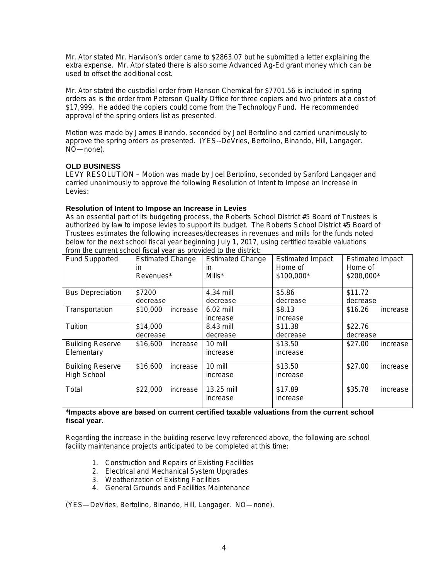Mr. Ator stated Mr. Harvison's order came to \$2863.07 but he submitted a letter explaining the extra expense. Mr. Ator stated there is also some Advanced Ag-Ed grant money which can be used to offset the additional cost.

Mr. Ator stated the custodial order from Hanson Chemical for \$7701.56 is included in spring orders as is the order from Peterson Quality Office for three copiers and two printers at a cost of \$17,999. He added the copiers could come from the Technology Fund. He recommended approval of the spring orders list as presented.

Motion was made by James Binando, seconded by Joel Bertolino and carried unanimously to approve the spring orders as presented. (YES--DeVries, Bertolino, Binando, Hill, Langager. NO—none).

# **OLD BUSINESS**

LEVY RESOLUTION – Motion was made by Joel Bertolino, seconded by Sanford Langager and carried unanimously to approve the following Resolution of Intent to Impose an Increase in Levies:

### **Resolution of Intent to Impose an Increase in Levies**

As an essential part of its budgeting process, the Roberts School District #5 Board of Trustees is authorized by law to impose levies to support its budget. The Roberts School District #5 Board of Trustees estimates the following increases/decreases in revenues and mills for the funds noted below for the next school fiscal year beginning July 1, 2017, using certified taxable valuations from the current school fiscal year as provided to the district:

| <b>Fund Supported</b>   | <b>Estimated Change</b> | <b>Estimated Change</b> | <b>Estimated Impact</b> | <b>Estimated Impact</b> |
|-------------------------|-------------------------|-------------------------|-------------------------|-------------------------|
|                         | in                      | in.                     | Home of                 | Home of                 |
|                         | Revenues*               | Mills*                  | \$100,000*              | \$200,000*              |
|                         |                         |                         |                         |                         |
| <b>Bus Depreciation</b> | \$7200                  | 4.34 mill               | \$5.86                  | \$11.72                 |
|                         | decrease                | decrease                | decrease                | decrease                |
| Transportation          | \$10,000<br>increase    | $6.02$ mill             | \$8.13                  | \$16.26<br>increase     |
|                         |                         | increase                | increase                |                         |
| Tuition                 | \$14,000                | 8.43 mill               | \$11.38                 | \$22.76                 |
|                         | decrease                | decrease                | decrease                | decrease                |
| <b>Building Reserve</b> | \$16,600<br>increase    | 10 mill                 | \$13.50                 | \$27.00<br>increase     |
| Elementary              |                         | increase                | increase                |                         |
| <b>Building Reserve</b> | \$16,600<br>increase    | 10 mill                 | \$13.50                 | \$27.00<br>increase     |
| High School             |                         | increase                | increase                |                         |
|                         |                         |                         |                         |                         |
| Total                   | \$22,000<br>increase    | 13.25 mill              | \$17.89                 | \$35.78<br>increase     |
|                         |                         | increase                | increase                |                         |

### \***Impacts above are based on current certified taxable valuations from the current school fiscal year.**

Regarding the increase in the building reserve levy referenced above, the following are school facility maintenance projects anticipated to be completed at this time:

- 1. Construction and Repairs of Existing Facilities
- 2. Electrical and Mechanical System Upgrades
- 3. Weatherization of Existing Facilities
- 4. General Grounds and Facilities Maintenance

(YES—DeVries, Bertolino, Binando, Hill, Langager. NO—none).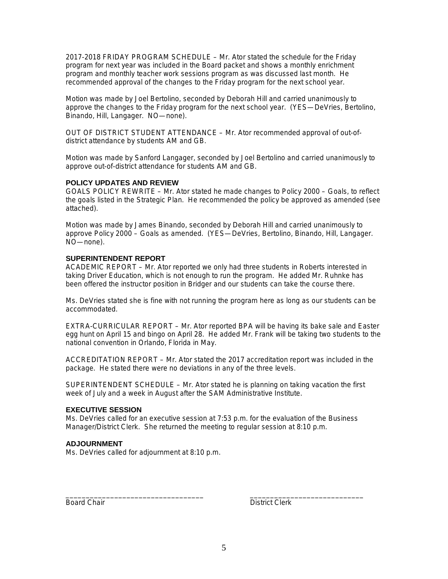2017-2018 FRIDAY PROGRAM SCHEDULE – Mr. Ator stated the schedule for the Friday program for next year was included in the Board packet and shows a monthly enrichment program and monthly teacher work sessions program as was discussed last month. He recommended approval of the changes to the Friday program for the next school year.

Motion was made by Joel Bertolino, seconded by Deborah Hill and carried unanimously to approve the changes to the Friday program for the next school year. (YES—DeVries, Bertolino, Binando, Hill, Langager. NO—none).

OUT OF DISTRICT STUDENT ATTENDANCE – Mr. Ator recommended approval of out-ofdistrict attendance by students AM and GB.

Motion was made by Sanford Langager, seconded by Joel Bertolino and carried unanimously to approve out-of-district attendance for students AM and GB.

#### **POLICY UPDATES AND REVIEW**

GOALS POLICY REWRITE – Mr. Ator stated he made changes to Policy 2000 – Goals, to reflect the goals listed in the Strategic Plan. He recommended the policy be approved as amended (see attached).

Motion was made by James Binando, seconded by Deborah Hill and carried unanimously to approve Policy 2000 – Goals as amended. (YES—DeVries, Bertolino, Binando, Hill, Langager. NO—none).

#### **SUPERINTENDENT REPORT**

ACADEMIC REPORT – Mr. Ator reported we only had three students in Roberts interested in taking Driver Education, which is not enough to run the program. He added Mr. Ruhnke has been offered the instructor position in Bridger and our students can take the course there.

Ms. DeVries stated she is fine with not running the program here as long as our students can be accommodated.

EXTRA-CURRICULAR REPORT – Mr. Ator reported BPA will be having its bake sale and Easter egg hunt on April 15 and bingo on April 28. He added Mr. Frank will be taking two students to the national convention in Orlando, Florida in May.

ACCREDITATION REPORT – Mr. Ator stated the 2017 accreditation report was included in the package. He stated there were no deviations in any of the three levels.

SUPERINTENDENT SCHEDULE – Mr. Ator stated he is planning on taking vacation the first week of July and a week in August after the SAM Administrative Institute.

### **EXECUTIVE SESSION**

Ms. DeVries called for an executive session at 7:53 p.m. for the evaluation of the Business Manager/District Clerk. She returned the meeting to regular session at 8:10 p.m.

\_\_\_\_\_\_\_\_\_\_\_\_\_\_\_\_\_\_\_\_\_\_\_\_\_\_\_\_\_\_\_\_\_\_ \_\_\_\_\_\_\_\_\_\_\_\_\_\_\_\_\_\_\_\_\_\_\_\_\_\_\_\_

### **ADJOURNMENT**

Ms. DeVries called for adjournment at 8:10 p.m.

Board Chair **District Clerk**